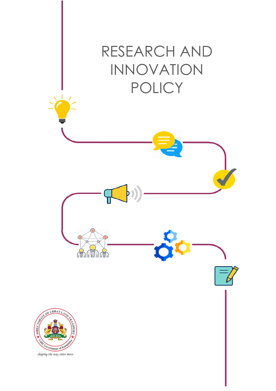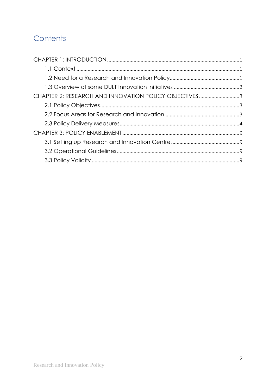## Contents

| CHAPTER 2: RESEARCH AND INNOVATION POLICY OBJECTIVES3 |  |
|-------------------------------------------------------|--|
|                                                       |  |
|                                                       |  |
|                                                       |  |
|                                                       |  |
|                                                       |  |
|                                                       |  |
|                                                       |  |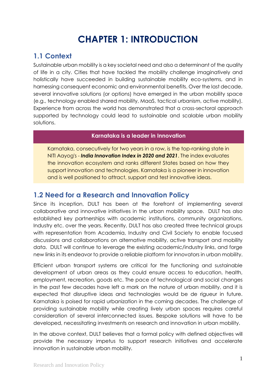## **CHAPTER 1: INTRODUCTION**

## <span id="page-2-1"></span><span id="page-2-0"></span>**1.1 Context**

Sustainable urban mobility is a key societal need and also a determinant of the quality of life in a city. Cities that have tackled the mobility challenge imaginatively and holistically have succeeded in building sustainable mobility eco-systems, and in harnessing consequent economic and environmental benefits. Over the last decade, several innovative solutions (or options) have emerged in the urban mobility space (e.g., technology enabled shared mobility, MaaS, tactical urbanism, active mobility). Experience from across the world has demonstrated that a cross-sectoral approach supported by technology could lead to sustainable and scalable urban mobility solutions.

#### **Karnataka is a leader in Innovation**

Karnataka, consecutively for two years in a row, is the top-ranking state in NITI Aayog's - *India Innovation Index in 2020 and 2021*. The index evaluates the innovation ecosystem and ranks different States based on how they support innovation and technologies. Karnataka is a pioneer in innovation and is well positioned to attract, support and test innovative ideas.

### <span id="page-2-2"></span>**1.2 Need for a Research and Innovation Policy**

Since its inception, DULT has been at the forefront of implementing several collaborative and innovative initiatives in the urban mobility space. DULT has also established key partnerships with academic institutions, community organizations, Industry etc. over the years. Recently, DULT has also created three technical groups with representation from Academia, Industry and Civil Society to enable focused discussions and collaborations on alternative mobility, active transport and mobility data. DULT will continue to leverage the existing academic/industry links, and forge new links in its endeavor to provide a reliable platform for innovators in urban mobility.

Efficient urban transport systems are critical for the functioning and sustainable development of urban areas as they could ensure access to education, health, employment, recreation, goods etc. The pace of technological and social changes in the past few decades have left a mark on the nature of urban mobility, and it is expected that disruptive ideas and technologies would be de rigueur in future. Karnataka is poised for rapid urbanization in the coming decades. The challenge of providing sustainable mobility while creating lively urban spaces requires careful consideration of several interconnected issues. Bespoke solutions will have to be developed, necessitating investments on research and innovation in urban mobility.

In the above context, DULT believes that a formal policy with defined objectives will provide the necessary impetus to support research initiatives and accelerate innovation in sustainable urban mobility.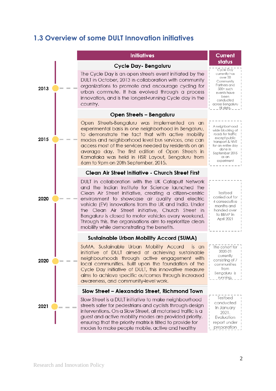### <span id="page-3-0"></span>**1.3 Overview of some DULT Innovation initiatives**

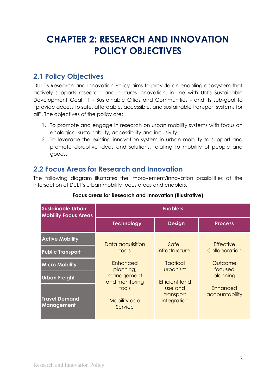## <span id="page-4-0"></span>**CHAPTER 2: RESEARCH AND INNOVATION POLICY OBJECTIVES**

## <span id="page-4-1"></span>**2.1 Policy Objectives**

DULT's Research and Innovation Policy aims to provide an enabling ecosystem that actively supports research, and nurtures innovation, in line with UN's Sustainable Development Goal 11 - Sustainable Cities and Communities - and its sub-goal to "provide access to safe, affordable, accessible, and sustainable transport systems for all". The objectives of the policy are:

- 1. To promote and engage in research on urban mobility systems with focus on ecological sustainability, accessibility and inclusivity.
- 2. To leverage the existing innovation system in urban mobility to support and promote disruptive ideas and solutions, relating to mobility of people and goods.

## <span id="page-4-2"></span>**2.2 Focus Areas for Research and Innovation**

The following diagram illustrates the improvement/innovation possibilities at the intersection of DULT's urban mobility focus areas and enablers.

| <b>Sustainable Urban</b><br><b>Mobility Focus Areas</b> | <b>Enablers</b>                   |                                     |                            |
|---------------------------------------------------------|-----------------------------------|-------------------------------------|----------------------------|
|                                                         | <b>Technology</b>                 | <b>Design</b>                       | <b>Process</b>             |
| <b>Active Mobility</b>                                  | Data acquisition                  | Safe                                | <b>Effective</b>           |
| <b>Public Transport</b>                                 | tools                             | infrastructure                      | Collaboration              |
| <b>Micro Mobility</b>                                   | <b>Enhanced</b><br>planning,      | Tactical<br>urbanism                | Outcome<br>focused         |
| <b>Urban Freight</b>                                    | management<br>and monitoring      | <b>Efficient land</b>               | planning                   |
| <b>Travel Demand</b><br><b>Management</b>               | tools<br>Mobility as a<br>Service | use and<br>transport<br>integration | Enhanced<br>accountability |

#### **Focus areas for Research and Innovation (Illustrative)**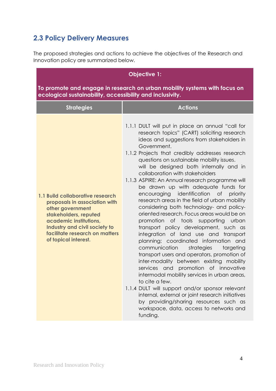## <span id="page-5-0"></span>**2.3 Policy Delivery Measures**

The proposed strategies and actions to achieve the objectives of the Research and Innovation policy are summarized below.

| <b>Objective 1:</b>                                                                                                                                                                                                                 |                                                                                                                                                                                                                                                                                                                                                                                                                                                                                                                                                                                                                                                                                                                                                                                                                                                                                                                                                                                                                                                                                                                                                                                                                                                      |  |
|-------------------------------------------------------------------------------------------------------------------------------------------------------------------------------------------------------------------------------------|------------------------------------------------------------------------------------------------------------------------------------------------------------------------------------------------------------------------------------------------------------------------------------------------------------------------------------------------------------------------------------------------------------------------------------------------------------------------------------------------------------------------------------------------------------------------------------------------------------------------------------------------------------------------------------------------------------------------------------------------------------------------------------------------------------------------------------------------------------------------------------------------------------------------------------------------------------------------------------------------------------------------------------------------------------------------------------------------------------------------------------------------------------------------------------------------------------------------------------------------------|--|
| To promote and engage in research on urban mobility systems with focus on<br>ecological sustainability, accessibility and inclusivity.                                                                                              |                                                                                                                                                                                                                                                                                                                                                                                                                                                                                                                                                                                                                                                                                                                                                                                                                                                                                                                                                                                                                                                                                                                                                                                                                                                      |  |
| <b>Strategies</b>                                                                                                                                                                                                                   | <b>Actions</b>                                                                                                                                                                                                                                                                                                                                                                                                                                                                                                                                                                                                                                                                                                                                                                                                                                                                                                                                                                                                                                                                                                                                                                                                                                       |  |
| 1.1 Build collaborative research<br>proposals in association with<br>other government<br>stakeholders, reputed<br>academic institutions,<br>Industry and civil society to<br>facilitate research on matters<br>of topical interest. | 1.1.1 DULT will put in place an annual "call for<br>research topics" (CART) soliciting research<br>ideas and suggestions from stakeholders in<br>Government.<br>1.1.2 Projects that credibly addresses research<br>questions on sustainable mobility issues.<br>will be designed both internally and in<br>collaboration with stakeholders<br>1.1.3 ASPIRE: An Annual research programme will<br>be drawn up with adequate funds for<br>encouraging identification of priority<br>research areas in the field of urban mobility<br>considering both technology- and policy-<br>oriented research. Focus areas would be on<br>promotion of tools supporting urban<br>transport policy development, such as<br>integration of land use and transport<br>planning; coordinated information and<br>communication<br>strategies<br>targeting<br>transport users and operators, promotion of<br>inter-modality between existing mobility<br>services and promotion of innovative<br>intermodal mobility services in urban areas,<br>to cite a few.<br>1.1.4 DULT will support and/or sponsor relevant<br>internal, external or joint research initiatives<br>by providing/sharing resources such as<br>workspace, data, access to networks and<br>funding. |  |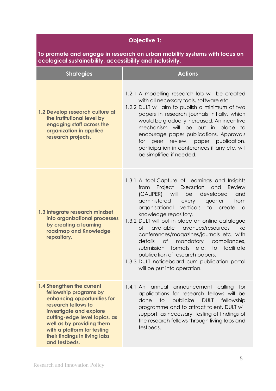| <b>Objective 1:</b>                                                                                                                                                                                                                                                                  |                                                                                                                                                                                                                                                                                                                                                                                                                                                                                                                                                                                                                                        |  |
|--------------------------------------------------------------------------------------------------------------------------------------------------------------------------------------------------------------------------------------------------------------------------------------|----------------------------------------------------------------------------------------------------------------------------------------------------------------------------------------------------------------------------------------------------------------------------------------------------------------------------------------------------------------------------------------------------------------------------------------------------------------------------------------------------------------------------------------------------------------------------------------------------------------------------------------|--|
| To promote and engage in research on urban mobility systems with focus on<br>ecological sustainability, accessibility and inclusivity.                                                                                                                                               |                                                                                                                                                                                                                                                                                                                                                                                                                                                                                                                                                                                                                                        |  |
| <b>Strategies</b>                                                                                                                                                                                                                                                                    | <b>Actions</b>                                                                                                                                                                                                                                                                                                                                                                                                                                                                                                                                                                                                                         |  |
| 1.2 Develop research culture at<br>the institutional level by<br>engaging staff across the<br>organization in applied<br>research projects.                                                                                                                                          | 1.2.1 A modelling research lab will be created<br>with all necessary tools, software etc.<br>1.2.2 DULT will aim to publish a minimum of two<br>papers in research journals initially, which<br>would be gradually increased. An incentive<br>mechanism will be put in place to<br>encourage paper publications. Approvals<br>for peer review, paper publication,<br>participation in conferences if any etc. will<br>be simplified if needed.                                                                                                                                                                                         |  |
| 1.3 Integrate research mindset<br>into organizational processes<br>by creating a learning<br>roadmap and Knowledge<br>repository.                                                                                                                                                    | 1.3.1 A tool-Capture of Learnings and Insights<br>Project Execution<br>and<br>Review<br>from<br>(CALIPER) will<br>be<br>developed<br>and<br>administered<br>quarter<br>from<br>every<br>organisational verticals<br>to create<br><b>a</b><br>knowledge repository.<br>1.3.2 DULT will put in place an online catalogue<br>available<br><b>of</b><br>avenues/resources<br>like<br>conferences/magazines/journals etc. with<br>details of mandatory compliances,<br>formats<br>etc.<br>facilitate<br>submission<br>to<br>publication of research papers.<br>1.3.3 DULT noticeboard cum publication portal<br>will be put into operation. |  |
| 1.4 Strengthen the current<br>fellowship programs by<br>enhancing opportunities for<br>research fellows to<br>investigate and explore<br>cutting-edge level topics, as<br>well as by providing them<br>with a platform for testing<br>their findings in living labs<br>and testbeds. | 1.4.1 An annual<br>announcement calling<br>tor<br>applications for research fellows will be<br>done<br>$\overline{1}$<br>publicize<br><b>DULT</b><br>fellowship<br>programme and to attract talent. DULT will<br>support, as necessary, testing of findings of<br>the research fellows through living labs and<br>testbeds.                                                                                                                                                                                                                                                                                                            |  |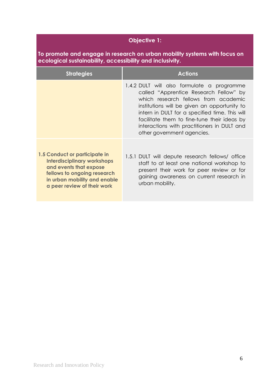### **Objective 1:**

**To promote and engage in research on urban mobility systems with focus on ecological sustainability, accessibility and inclusivity.** 

| <b>Strategies</b>                                                                                                                                                                           | <b>Actions</b>                                                                                                                                                                                                                                                                                                                                             |
|---------------------------------------------------------------------------------------------------------------------------------------------------------------------------------------------|------------------------------------------------------------------------------------------------------------------------------------------------------------------------------------------------------------------------------------------------------------------------------------------------------------------------------------------------------------|
|                                                                                                                                                                                             | 1.4.2 DULT will also formulate a programme<br>called "Apprentice Research Fellow" by<br>which research fellows from academic<br>institutions will be given an opportunity to<br>intern in DULT for a specified time. This will<br>facilitate them to fine-tune their ideas by<br>interactions with practitioners in DULT and<br>other government agencies. |
| 1.5 Conduct or participate in<br><b>Interdisciplinary workshops</b><br>and events that expose<br>fellows to ongoing research<br>in urban mobility and enable<br>a peer review of their work | 1.5.1 DULT will depute research fellows/ office<br>staff to at least one national workshop to<br>present their work for peer review or for<br>gaining awareness on current research in<br>urban mobility.                                                                                                                                                  |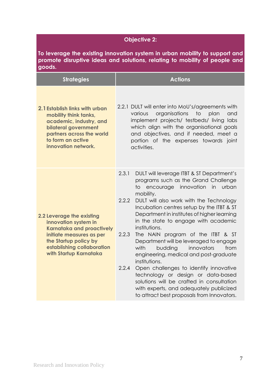#### **Objective 2:**

**To leverage the existing innovation system in urban mobility to support and promote disruptive ideas and solutions, relating to mobility of people and goods.**

| <b>Strategies</b>                                                                                                                                                                                  | <b>Actions</b>                                                                                                                                                                                                                                                                                                                                                                                                                                                                                                                                                                                                                                                                                                                                                                            |
|----------------------------------------------------------------------------------------------------------------------------------------------------------------------------------------------------|-------------------------------------------------------------------------------------------------------------------------------------------------------------------------------------------------------------------------------------------------------------------------------------------------------------------------------------------------------------------------------------------------------------------------------------------------------------------------------------------------------------------------------------------------------------------------------------------------------------------------------------------------------------------------------------------------------------------------------------------------------------------------------------------|
| 2.1 Establish links with urban<br>mobility think tanks,<br>academic, industry, and<br>bilateral government<br>partners across the world<br>to form an active<br>innovation network.                | 2.2.1 DULT will enter into MoU's/agreements with<br>organisations<br>various<br>to<br>plan<br>and<br>implement projects/ testbeds/ living labs<br>which align with the organisational goals<br>and objectives, and if needed, meet a<br>portion of the expenses towards joint<br>activities.                                                                                                                                                                                                                                                                                                                                                                                                                                                                                              |
| 2.2 Leverage the existing<br>innovation system in<br><b>Karnataka and proactively</b><br>initiate measures as per<br>the Startup policy by<br>establishing collaboration<br>with Startup Karnataka | 2.3.1<br>DULT will leverage ITBT & ST Department's<br>programs such as the Grand Challenge<br>encourage innovation<br>in<br>urban<br>to.<br>mobility.<br>2.2.2<br>DULT will also work with the Technology<br>Incubation centres setup by the ITBT & ST<br>Department in institutes of higher learning<br>in the state to engage with academic<br>institutions.<br>2.2.3<br>The NAIN program of the ITBT & ST<br>Department will be leveraged to engage<br>with<br>budding<br>innovators<br>from<br>engineering, medical and post-graduate<br>institutions.<br>2.2.4<br>Open challenges to identify innovative<br>technology or design or data-based<br>solutions will be crafted in consultation<br>with experts, and adequately publicized<br>to attract best proposals from Innovators. |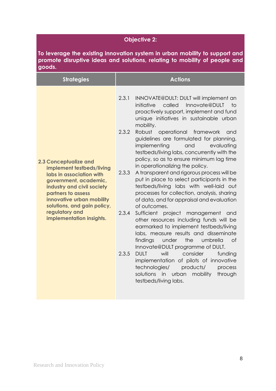#### **Objective 2:**

**To leverage the existing innovation system in urban mobility to support and promote disruptive ideas and solutions, relating to mobility of people and goods.**

| <b>Strategies</b>                                                                                                                                                                                                                                                            | <b>Actions</b>                                                                                                                                                                                                                                                                                                                                                                                                                                                                                                                                                                                                                                                                                                                                                                                                                                                                                                                                                                                                                                                                                                                                                                                                           |
|------------------------------------------------------------------------------------------------------------------------------------------------------------------------------------------------------------------------------------------------------------------------------|--------------------------------------------------------------------------------------------------------------------------------------------------------------------------------------------------------------------------------------------------------------------------------------------------------------------------------------------------------------------------------------------------------------------------------------------------------------------------------------------------------------------------------------------------------------------------------------------------------------------------------------------------------------------------------------------------------------------------------------------------------------------------------------------------------------------------------------------------------------------------------------------------------------------------------------------------------------------------------------------------------------------------------------------------------------------------------------------------------------------------------------------------------------------------------------------------------------------------|
| <b>2.3 Conceptualize and</b><br>implement testbeds/living<br>labs in association with<br>government, academic,<br>industry and civil society<br>partners to assess<br>innovative urban mobility<br>solutions, and gain policy,<br>regulatory and<br>implementation insights. | 2.3.1<br>INNOVATE@DULT: DULT will implement an<br>initiative<br>called<br>Innovate@DULT<br>to<br>proactively support, implement and fund<br>unique initiatives in sustainable urban<br>mobility.<br>2.3.2<br>Robust<br>operational<br>framework<br>and<br>guidelines are formulated for planning,<br>implementing<br>and<br>evaluating<br>testbeds/living labs, concurrently with the<br>policy, so as to ensure minimum lag time<br>in operationalizing the policy.<br>2.3.3<br>A transparent and rigorous process will be<br>put in place to select participants in the<br>testbeds/living labs with well-laid out<br>processes for collection, analysis, sharing<br>of data, and for appraisal and evaluation<br>of outcomes.<br>2.3.4<br>Sufficient project management and<br>other resources including funds will be<br>earmarked to implement testbeds/living<br>labs, measure results and disseminate<br>$\circ$ f<br>findings<br>under<br>the<br>umbrella<br>Innovate@DULT programme of DULT.<br>2.3.5<br>will<br>consider<br><b>DULT</b><br>funding<br>implementation of pilots of innovative<br>technologies/<br>products/<br>process<br>solutions in<br>urban<br>mobility<br>through<br>testbeds/living labs. |